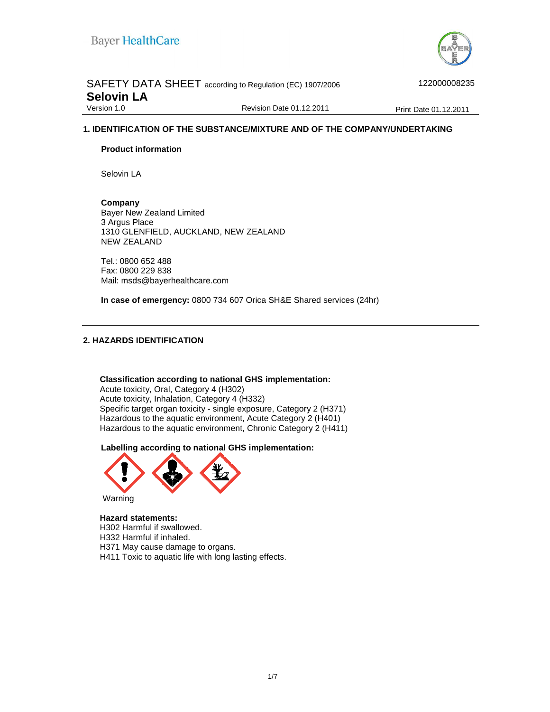

## SAFETY DATA SHEET according to Regulation (EC) 1907/2006 422000008235 **Selovin LA**<br>Version 1.0

Revision Date 01.12.2011 Print Date 01.12.2011

## **1. IDENTIFICATION OF THE SUBSTANCE/MIXTURE AND OF THE COMPANY/UNDERTAKING**

#### **Product information**

Selovin LA

**Company**  Bayer New Zealand Limited 3 Argus Place 1310 GLENFIELD, AUCKLAND, NEW ZEALAND NEW ZEALAND

Tel.: 0800 652 488 Fax: 0800 229 838 Mail: msds@bayerhealthcare.com

**In case of emergency:** 0800 734 607 Orica SH&E Shared services (24hr)

#### **2. HAZARDS IDENTIFICATION**

**Classification according to national GHS implementation:**  Acute toxicity, Oral, Category 4 (H302) Acute toxicity, Inhalation, Category 4 (H332) Specific target organ toxicity - single exposure, Category 2 (H371) Hazardous to the aquatic environment, Acute Category 2 (H401) Hazardous to the aquatic environment, Chronic Category 2 (H411)

**Labelling according to national GHS implementation:**



#### **Hazard statements:** H302 Harmful if swallowed.

H332 Harmful if inhaled. H371 May cause damage to organs. H411 Toxic to aquatic life with long lasting effects.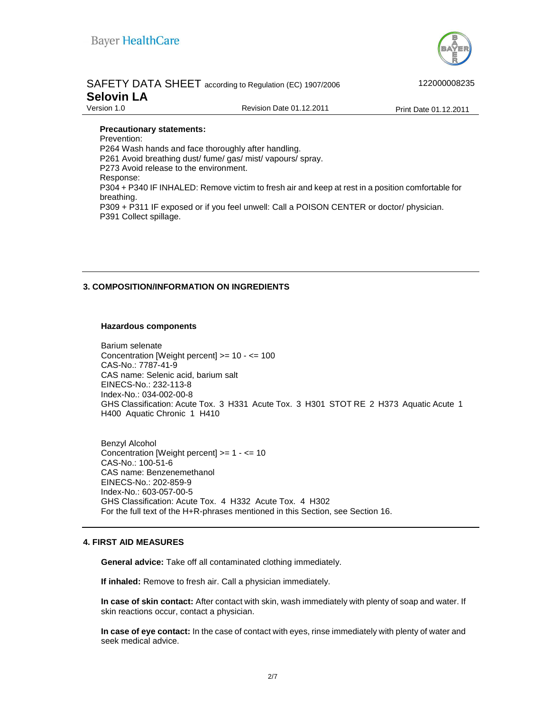

|                   | SAFETY DATA SHEET according to Regulation (EC) 1907/2006 | 122000008235          |
|-------------------|----------------------------------------------------------|-----------------------|
| <b>Selovin LA</b> |                                                          |                       |
| Version 1.0       | Revision Date 01.12.2011                                 | Print Date 01.12.2011 |

#### **Precautionary statements:**

Prevention: P264 Wash hands and face thoroughly after handling. P261 Avoid breathing dust/ fume/ gas/ mist/ vapours/ spray. P273 Avoid release to the environment. Response: P304 + P340 IF INHALED: Remove victim to fresh air and keep at rest in a position comfortable for breathing. P309 + P311 IF exposed or if you feel unwell: Call a POISON CENTER or doctor/ physician. P391 Collect spillage.

#### **3. COMPOSITION/INFORMATION ON INGREDIENTS**

#### **Hazardous components**

Barium selenate Concentration [Weight percent] >= 10 - <= 100 CAS-No.: 7787-41-9 CAS name: Selenic acid, barium salt EINECS-No.: 232-113-8 Index-No.: 034-002-00-8 GHS Classification: Acute Tox. 3 H331 Acute Tox. 3 H301 STOT RE 2 H373 Aquatic Acute 1 H400 Aquatic Chronic 1 H410

Benzyl Alcohol Concentration [Weight percent] >= 1 - <= 10 CAS-No.: 100-51-6 CAS name: Benzenemethanol EINECS-No.: 202-859-9 Index-No.: 603-057-00-5 GHS Classification: Acute Tox. 4 H332 Acute Tox. 4 H302 For the full text of the H+R-phrases mentioned in this Section, see Section 16.

#### **4. FIRST AID MEASURES**

**General advice:** Take off all contaminated clothing immediately.

**If inhaled:** Remove to fresh air. Call a physician immediately.

**In case of skin contact:** After contact with skin, wash immediately with plenty of soap and water. If skin reactions occur, contact a physician.

**In case of eye contact:** In the case of contact with eyes, rinse immediately with plenty of water and seek medical advice.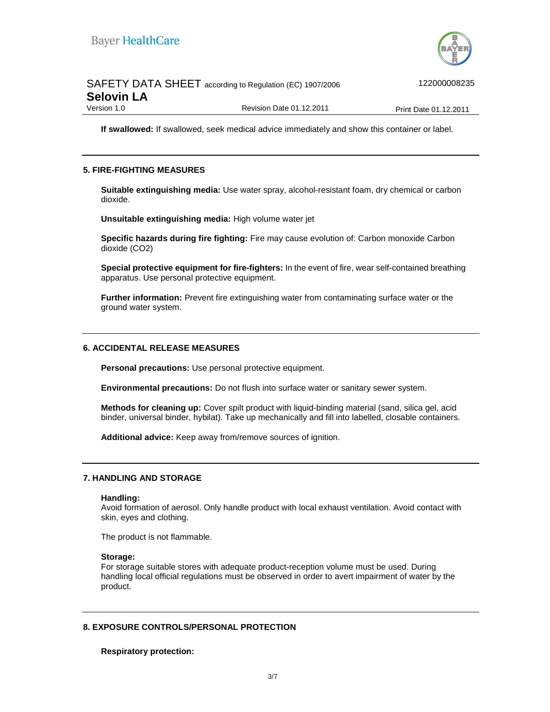

|                   | SAFETY DATA SHEET according to Regulation (EC) 1907/2006 | 122000008235                 |
|-------------------|----------------------------------------------------------|------------------------------|
| <b>Selovin LA</b> |                                                          |                              |
| Version 1.0       | Revision Date 01.12.2011                                 | <b>Print Date 01.12.2011</b> |

**If swallowed:** If swallowed, seek medical advice immediately and show this container or label.

#### **5. FIRE-FIGHTING MEASURES**

**Suitable extinguishing media:** Use water spray, alcohol-resistant foam, dry chemical or carbon dioxide.

**Unsuitable extinguishing media:** High volume water jet

**Specific hazards during fire fighting:** Fire may cause evolution of: Carbon monoxide Carbon dioxide (CO2)

**Special protective equipment for fire-fighters:** In the event of fire, wear self-contained breathing apparatus. Use personal protective equipment.

**Further information:** Prevent fire extinguishing water from contaminating surface water or the ground water system.

#### **6. ACCIDENTAL RELEASE MEASURES**

**Personal precautions:** Use personal protective equipment.

**Environmental precautions:** Do not flush into surface water or sanitary sewer system.

**Methods for cleaning up:** Cover spilt product with liquid-binding material (sand, silica gel, acid binder, universal binder, hybilat). Take up mechanically and fill into labelled, closable containers.

**Additional advice:** Keep away from/remove sources of ignition.

#### **7. HANDLING AND STORAGE**

#### **Handling:**

Avoid formation of aerosol. Only handle product with local exhaust ventilation. Avoid contact with skin, eyes and clothing.

The product is not flammable.

#### **Storage:**

For storage suitable stores with adequate product-reception volume must be used. During handling local official regulations must be observed in order to avert impairment of water by the product.

#### **8. EXPOSURE CONTROLS/PERSONAL PROTECTION**

**Respiratory protection:**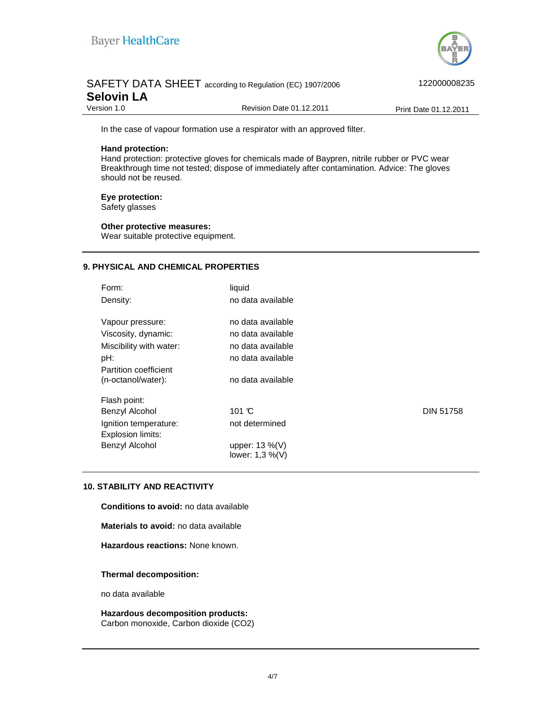

## SAFETY DATA SHEET according to Regulation (EC) 1907/2006 422000008235 **Selovin LA**<br>Version 1.0 Revision Date 01.12.2011 Print Date 01.12.2011

In the case of vapour formation use a respirator with an approved filter.

#### **Hand protection:**

Hand protection: protective gloves for chemicals made of Baypren, nitrile rubber or PVC wear Breakthrough time not tested; dispose of immediately after contamination. Advice: The gloves should not be reused.

#### **Eye protection:**

Safety glasses

#### **Other protective measures:**

Wear suitable protective equipment.

## **9. PHYSICAL AND CHEMICAL PROPERTIES**

| Form:<br>Density:                          | liquid<br>no data available |                  |
|--------------------------------------------|-----------------------------|------------------|
| Vapour pressure:                           | no data available           |                  |
| Viscosity, dynamic:                        | no data available           |                  |
| Miscibility with water:                    | no data available           |                  |
| pH:                                        | no data available           |                  |
| Partition coefficient                      |                             |                  |
| (n-octanol/water):                         | no data available           |                  |
| Flash point:                               |                             |                  |
| Benzyl Alcohol                             | 101 $\mathbb{C}$            | <b>DIN 51758</b> |
| Ignition temperature:<br>Explosion limits: | not determined              |                  |
| Benzyl Alcohol                             | upper: $13\%$ (V)           |                  |
|                                            | lower: 1,3 %(V)             |                  |

#### **10. STABILITY AND REACTIVITY**

**Conditions to avoid:** no data available

**Materials to avoid:** no data available

**Hazardous reactions:** None known.

#### **Thermal decomposition:**

no data available

**Hazardous decomposition products:**  Carbon monoxide, Carbon dioxide (CO2)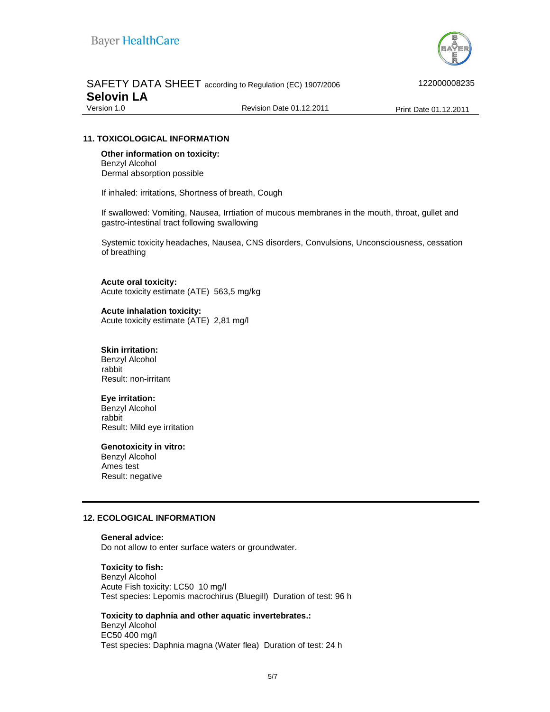

|                   | SAFETY DATA SHEET according to Regulation (EC) 1907/2006 |
|-------------------|----------------------------------------------------------|
| <b>Selovin LA</b> |                                                          |
|                   |                                                          |

SAFETY DATA SHEET according to Regulation (EC) 1907/2006 <#####>122000008235

Version 1.0 **Print Date 01.12.2011** Revision Date 01.12.2011 **Print Date 01.12.2011** 

### **11. TOXICOLOGICAL INFORMATION**

**Other information on toxicity:**  Benzyl Alcohol Dermal absorption possible

If inhaled: irritations, Shortness of breath, Cough

If swallowed: Vomiting, Nausea, Irrtiation of mucous membranes in the mouth, throat, gullet and gastro-intestinal tract following swallowing

Systemic toxicity headaches, Nausea, CNS disorders, Convulsions, Unconsciousness, cessation of breathing

#### **Acute oral toxicity:**

Acute toxicity estimate (ATE) 563,5 mg/kg

**Acute inhalation toxicity:** Acute toxicity estimate (ATE) 2,81 mg/l

#### **Skin irritation:**

Benzyl Alcohol rabbit Result: non-irritant

#### **Eye irritation:**

Benzyl Alcohol rabbit Result: Mild eye irritation

#### **Genotoxicity in vitro:**

Benzyl Alcohol Ames test Result: negative

#### **12. ECOLOGICAL INFORMATION**

#### **General advice:**

Do not allow to enter surface waters or groundwater.

#### **Toxicity to fish:**

Benzyl Alcohol Acute Fish toxicity: LC50 10 mg/l Test species: Lepomis macrochirus (Bluegill) Duration of test: 96 h

#### **Toxicity to daphnia and other aquatic invertebrates.:**

Benzyl Alcohol EC50 400 mg/l Test species: Daphnia magna (Water flea) Duration of test: 24 h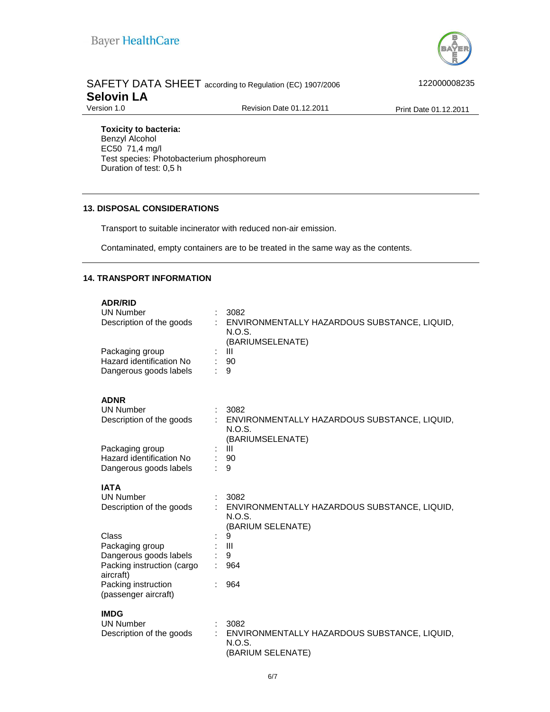

# SAFETY DATA SHEET according to Regulation (EC) 1907/2006 422000008235 **Selovin LA**<br>Version 1.0

Revision Date 01.12.2011 Print Date 01.12.2011

**Toxicity to bacteria:** 

Benzyl Alcohol EC50 71,4 mg/l Test species: Photobacterium phosphoreum Duration of test: 0,5 h

## **13. DISPOSAL CONSIDERATIONS**

Transport to suitable incinerator with reduced non-air emission.

Contaminated, empty containers are to be treated in the same way as the contents.

## **14. TRANSPORT INFORMATION**

| <b>UN Number</b><br>Description of the goods<br>Packaging group<br>Hazard identification No<br>Dangerous goods labels                                                                                       |   | 3082<br>ENVIRONMENTALLY HAZARDOUS SUBSTANCE, LIQUID,<br>N.O.S.<br>(BARIUMSELENATE)<br>Ш<br>90<br>9                            |
|-------------------------------------------------------------------------------------------------------------------------------------------------------------------------------------------------------------|---|-------------------------------------------------------------------------------------------------------------------------------|
| <b>ADNR</b><br><b>UN Number</b><br>Description of the goods<br>Packaging group<br>Hazard identification No<br>Dangerous goods labels                                                                        | ÷ | 3082<br>ENVIRONMENTALLY HAZARDOUS SUBSTANCE, LIQUID,<br>N.O.S.<br>(BARIUMSELENATE)<br>Ш<br>90<br>9                            |
| <b>IATA</b><br><b>UN Number</b><br>Description of the goods<br>Class<br>Packaging group<br>Dangerous goods labels<br>Packing instruction (cargo<br>aircraft)<br>Packing instruction<br>(passenger aircraft) |   | 3082<br>ENVIRONMENTALLY HAZARDOUS SUBSTANCE, LIQUID,<br>N.O.S.<br>(BARIUM SELENATE)<br>9<br>$\mathbf{III}$<br>9<br>964<br>964 |
| <b>IMDG</b><br><b>UN Number</b><br>Description of the goods                                                                                                                                                 |   | 3082<br>ENVIRONMENTALLY HAZARDOUS SUBSTANCE, LIQUID,<br>N.O.S.<br>(BARIUM SELENATE)                                           |